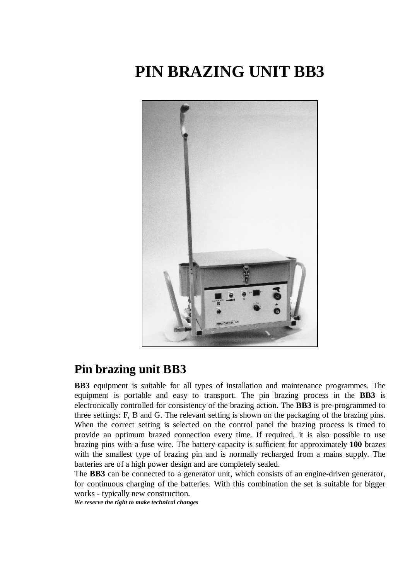## **PIN BRAZING UNIT BB3**



## **Pin brazing unit BB3**

**BB3** equipment is suitable for all types of installation and maintenance programmes. The equipment is portable and easy to transport. The pin brazing process in the **BB3** is electronically controlled for consistency of the brazing action. The **BB3** is pre-programmed to three settings: F, B and G. The relevant setting is shown on the packaging of the brazing pins. When the correct setting is selected on the control panel the brazing process is timed to provide an optimum brazed connection every time. If required, it is also possible to use brazing pins with a fuse wire. The battery capacity is sufficient for approximately **100** brazes with the smallest type of brazing pin and is normally recharged from a mains supply. The batteries are of a high power design and are completely sealed.

The **BB3** can be connected to a generator unit, which consists of an engine-driven generator, for continuous charging of the batteries. With this combination the set is suitable for bigger works - typically new construction.

*We reserve the right to make technical changes*